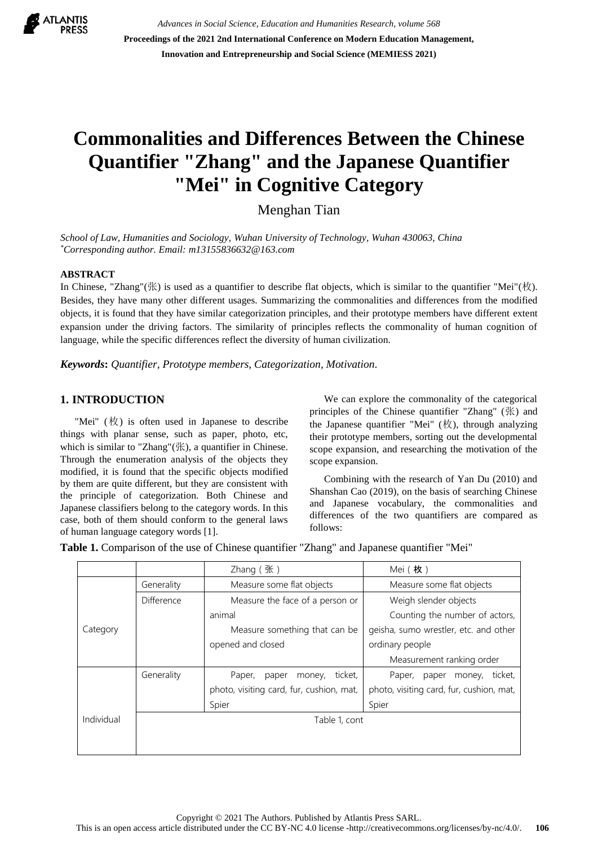

*Advances in Social Science, Education and Humanities Research, volume 568* **Proceedings of the 2021 2nd International Conference on Modern Education Management, Innovation and Entrepreneurship and Social Science (MEMIESS 2021)**

# **Commonalities and Differences Between the Chinese Quantifier "Zhang" and the Japanese Quantifier "Mei" in Cognitive Category**

Menghan Tian

*School of Law, Humanities and Sociology, Wuhan University of Technology, Wuhan 430063, China \*Corresponding author. Email: m13155836632@163.com*

### **ABSTRACT**

In Chinese, "Zhang"(张) is used as a quantifier to describe flat objects, which is similar to the quantifier "Mei"(枚). Besides, they have many other different usages. Summarizing the commonalities and differences from the modified objects, it is found that they have similar categorization principles, and their prototype members have different extent expansion under the driving factors. The similarity of principles reflects the commonality of human cognition of language, while the specific differences reflect the diversity of human civilization.

*Keywords***:** *Quantifier, Prototype members, Categorization, Motivation.*

#### **1. INTRODUCTION**

"Mei" (枚) is often used in Japanese to describe things with planar sense, such as paper, photo, etc, which is similar to "Zhang"(张), a quantifier in Chinese. Through the enumeration analysis of the objects they modified, it is found that the specific objects modified by them are quite different, but they are consistent with the principle of categorization. Both Chinese and Japanese classifiers belong to the category words. In this case, both of them should conform to the general laws of human language category words [1].

We can explore the commonality of the categorical principles of the Chinese quantifier "Zhang" (张) and the Japanese quantifier "Mei"  $(\nmid \psi)$ , through analyzing their prototype members, sorting out the developmental scope expansion, and researching the motivation of the scope expansion.

Combining with the research of Yan Du (2010) and Shanshan Cao (2019), on the basis of searching Chinese and Japanese vocabulary, the commonalities and differences of the two quantifiers are compared as follows:

**Table 1.** Comparison of the use of Chinese quantifier "Zhang" and Japanese quantifier "Mei"

|            |               | $Z$ hang $($ 张)                          | Mei (枚)                                  |
|------------|---------------|------------------------------------------|------------------------------------------|
|            | Generality    | Measure some flat objects                | Measure some flat objects                |
|            | Difference    | Measure the face of a person or          | Weigh slender objects                    |
|            |               | animal                                   | Counting the number of actors,           |
| Category   |               | Measure something that can be            | geisha, sumo wrestler, etc. and other    |
|            |               | opened and closed                        | ordinary people                          |
|            |               |                                          | Measurement ranking order                |
|            | Generality    | ticket,<br>Paper,<br>paper<br>money,     | Paper,<br>ticket,<br>paper<br>money,     |
|            |               | photo, visiting card, fur, cushion, mat, | photo, visiting card, fur, cushion, mat, |
|            |               | Spier                                    | Spier                                    |
| Individual | Table 1, cont |                                          |                                          |
|            |               |                                          |                                          |
|            |               |                                          |                                          |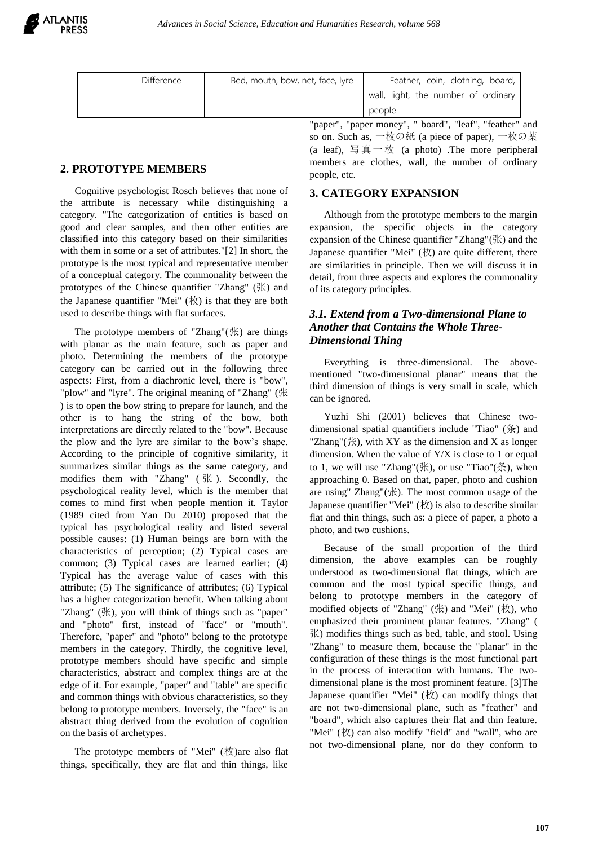

|                                                       | <b>Difference</b> | Bed, mouth, bow, net, face, lyre | Feather, coin, clothing, board,     |
|-------------------------------------------------------|-------------------|----------------------------------|-------------------------------------|
|                                                       |                   |                                  | wall, light, the number of ordinary |
|                                                       |                   |                                  | people                              |
| "paper". "paper monev". " board". "leaf". "feather" a |                   |                                  |                                     |

# **2. PROTOTYPE MEMBERS**

Cognitive psychologist Rosch believes that none of the attribute is necessary while distinguishing a category. "The categorization of entities is based on good and clear samples, and then other entities are classified into this category based on their similarities with them in some or a set of attributes."[2] In short, the prototype is the most typical and representative member of a conceptual category. The commonality between the prototypes of the Chinese quantifier "Zhang" (张) and the Japanese quantifier "Mei"  $(\nmid x)$  is that they are both used to describe things with flat surfaces.

The prototype members of "Zhang"(张) are things with planar as the main feature, such as paper and photo. Determining the members of the prototype category can be carried out in the following three aspects: First, from a diachronic level, there is "bow", "plow" and "lyre". The original meaning of "Zhang" (张 ) is to open the bow string to prepare for launch, and the other is to hang the string of the bow, both interpretations are directly related to the "bow". Because the plow and the lyre are similar to the bow's shape. According to the principle of cognitive similarity, it summarizes similar things as the same category, and modifies them with "Zhang" ( 张 ). Secondly, the psychological reality level, which is the member that comes to mind first when people mention it. Taylor (1989 cited from Yan Du 2010) proposed that the typical has psychological reality and listed several possible causes: (1) Human beings are born with the characteristics of perception; (2) Typical cases are common; (3) Typical cases are learned earlier; (4) Typical has the average value of cases with this attribute; (5) The significance of attributes; (6) Typical has a higher categorization benefit. When talking about "Zhang" (张), you will think of things such as "paper" and "photo" first, instead of "face" or "mouth". Therefore, "paper" and "photo" belong to the prototype members in the category. Thirdly, the cognitive level, prototype members should have specific and simple characteristics, abstract and complex things are at the edge of it. For example, "paper" and "table" are specific and common things with obvious characteristics, so they belong to prototype members. Inversely, the "face" is an abstract thing derived from the evolution of cognition on the basis of archetypes.

The prototype members of "Mei"  $(\frac{1}{N})$ are also flat things, specifically, they are flat and thin things, like

"paper", "paper money", " board", "leaf", "feather" and so on. Such as, 一枚の紙 (a piece of paper), 一枚の葉 (a leaf), 写真一枚 (a photo) .The more peripheral members are clothes, wall, the number of ordinary people, etc.

## **3. CATEGORY EXPANSION**

Although from the prototype members to the margin expansion, the specific objects in the category expansion of the Chinese quantifier "Zhang"(张) and the Japanese quantifier "Mei" (枚) are quite different, there are similarities in principle. Then we will discuss it in detail, from three aspects and explores the commonality of its category principles.

## *3.1. Extend from a Two-dimensional Plane to Another that Contains the Whole Three-Dimensional Thing*

Everything is three-dimensional. The abovementioned "two-dimensional planar" means that the third dimension of things is very small in scale, which can be ignored.

Yuzhi Shi (2001) believes that Chinese twodimensional spatial quantifiers include "Tiao" (条) and "Zhang"( $\mathbb K$ ), with XY as the dimension and X as longer dimension. When the value of  $Y/X$  is close to 1 or equal to 1, we will use "Zhang"(张), or use "Tiao"(条), when approaching 0. Based on that, paper, photo and cushion are using" Zhang"(张). The most common usage of the Japanese quantifier "Mei"  $(\nmid x)$  is also to describe similar flat and thin things, such as: a piece of paper, a photo a photo, and two cushions.

Because of the small proportion of the third dimension, the above examples can be roughly understood as two-dimensional flat things, which are common and the most typical specific things, and belong to prototype members in the category of modified objects of "Zhang" (张) and "Mei" (枚), who emphasized their prominent planar features. "Zhang" ( 张) modifies things such as bed, table, and stool. Using "Zhang" to measure them, because the "planar" in the configuration of these things is the most functional part in the process of interaction with humans. The twodimensional plane is the most prominent feature. [3]The Japanese quantifier "Mei"  $(\nmid \forall x)$  can modify things that are not two-dimensional plane, such as "feather" and "board", which also captures their flat and thin feature. "Mei" (枚) can also modify "field" and "wall", who are not two-dimensional plane, nor do they conform to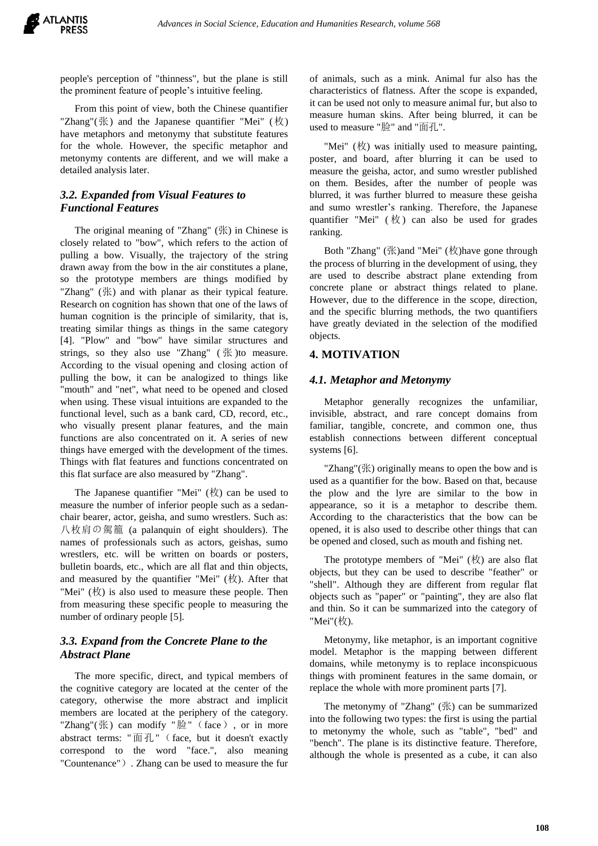people's perception of "thinness", but the plane is still the prominent feature of people's intuitive feeling.

From this point of view, both the Chinese quantifier "Zhang"(张) and the Japanese quantifier "Mei" (枚) have metaphors and metonymy that substitute features for the whole. However, the specific metaphor and metonymy contents are different, and we will make a detailed analysis later.

## *3.2. Expanded from Visual Features to Functional Features*

The original meaning of "Zhang" (张) in Chinese is closely related to "bow", which refers to the action of pulling a bow. Visually, the trajectory of the string drawn away from the bow in the air constitutes a plane, so the prototype members are things modified by "Zhang" (张) and with planar as their typical feature. Research on cognition has shown that one of the laws of human cognition is the principle of similarity, that is, treating similar things as things in the same category [4]. "Plow" and "bow" have similar structures and strings, so they also use "Zhang" ( 张 )to measure. According to the visual opening and closing action of pulling the bow, it can be analogized to things like "mouth" and "net", what need to be opened and closed when using. These visual intuitions are expanded to the functional level, such as a bank card, CD, record, etc., who visually present planar features, and the main functions are also concentrated on it. A series of new things have emerged with the development of the times. Things with flat features and functions concentrated on this flat surface are also measured by "Zhang".

The Japanese quantifier "Mei" (枚) can be used to measure the number of inferior people such as a sedanchair bearer, actor, geisha, and sumo wrestlers. Such as: 八枚肩の駕籠 (a palanquin of eight shoulders). The names of professionals such as actors, geishas, sumo wrestlers, etc. will be written on boards or posters, bulletin boards, etc., which are all flat and thin objects, and measured by the quantifier "Mei"  $(\nmid x)$ . After that "Mei" (枚) is also used to measure these people. Then from measuring these specific people to measuring the number of ordinary people [5].

# *3.3. Expand from the Concrete Plane to the Abstract Plane*

The more specific, direct, and typical members of the cognitive category are located at the center of the category, otherwise the more abstract and implicit members are located at the periphery of the category. "Zhang"(张) can modify "脸"(face), or in more abstract terms: "面孔"(face, but it doesn't exactly correspond to the word "face.", also meaning "Countenance"). Zhang can be used to measure the fur

of animals, such as a mink. Animal fur also has the characteristics of flatness. After the scope is expanded, it can be used not only to measure animal fur, but also to measure human skins. After being blurred, it can be used to measure "脸" and "面孔".

"Mei" (枚) was initially used to measure painting, poster, and board, after blurring it can be used to measure the geisha, actor, and sumo wrestler published on them. Besides, after the number of people was blurred, it was further blurred to measure these geisha and sumo wrestler's ranking. Therefore, the Japanese quantifier "Mei"  $(\nmid \nmid x)$  can also be used for grades ranking.

Both "Zhang" (张)and "Mei" (枚)have gone through the process of blurring in the development of using, they are used to describe abstract plane extending from concrete plane or abstract things related to plane. However, due to the difference in the scope, direction, and the specific blurring methods, the two quantifiers have greatly deviated in the selection of the modified objects.

### **4. MOTIVATION**

#### *4.1. Metaphor and Metonymy*

Metaphor generally recognizes the unfamiliar, invisible, abstract, and rare concept domains from familiar, tangible, concrete, and common one, thus establish connections between different conceptual systems [6].

"Zhang"(张) originally means to open the bow and is used as a quantifier for the bow. Based on that, because the plow and the lyre are similar to the bow in appearance, so it is a metaphor to describe them. According to the characteristics that the bow can be opened, it is also used to describe other things that can be opened and closed, such as mouth and fishing net.

The prototype members of "Mei"  $(\nmid x)$  are also flat objects, but they can be used to describe "feather" or "shell". Although they are different from regular flat objects such as "paper" or "painting", they are also flat and thin. So it can be summarized into the category of "Mei"(枚).

Metonymy, like metaphor, is an important cognitive model. Metaphor is the mapping between different domains, while metonymy is to replace inconspicuous things with prominent features in the same domain, or replace the whole with more prominent parts [7].

The metonymy of "Zhang" (张) can be summarized into the following two types: the first is using the partial to metonymy the whole, such as "table", "bed" and "bench". The plane is its distinctive feature. Therefore, although the whole is presented as a cube, it can also